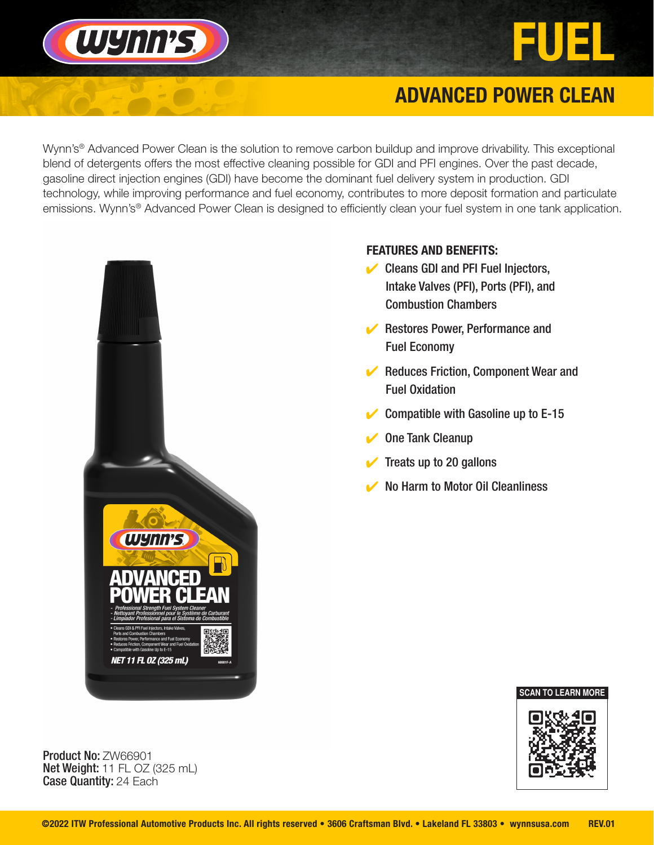

# WYNN'S,

## **ADVANCED POWER CLEAN**

Wynn's<sup>®</sup> Advanced Power Clean is the solution to remove carbon buildup and improve drivability. This exceptional blend of detergents offers the most effective cleaning possible for GDI and PFI engines. Over the past decade, gasoline direct injection engines (GDI) have become the dominant fuel delivery system in production. GDI technology, while improving performance and fuel economy, contributes to more deposit formation and particulate emissions. Wynn's® Advanced Power Clean is designed to efficiently clean your fuel system in one tank application.



## FEATURES AND BENEFITS:

- $\vee$  Cleans GDI and PFI Fuel Injectors, Intake Valves (PFI), Ports (PFI), and Combustion Chambers
- **▶ Restores Power, Performance and** Fuel Economy
- $\blacktriangleright$  Reduces Friction, Component Wear and Fuel Oxidation
- $\vee$  Compatible with Gasoline up to E-15
- $\triangleright$  One Tank Cleanup
- Treats up to 20 gallons
- **No Harm to Motor Oil Cleanliness**



Product No: ZW66901 Net Weight: 11 FL OZ (325 mL) Case Quantity: 24 Each